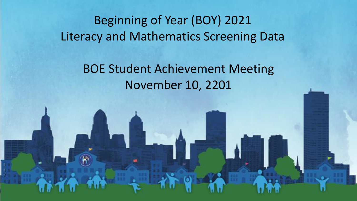# Beginning of Year (BOY) 2021 Literacy and Mathematics Screening Data

# BOE Student Achievement Meeting November 10, 2201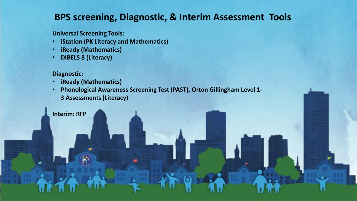### **BPS screening, Diagnostic, & Interim Assessment Tools**

**Universal Screening Tools:**

• **iStation (PK Literacy and Mathematics)**

 $\blacksquare$ 

- **iReady (Mathematics)**
- **DIBELS 8 (Literacy)**

#### **Diagnostic:**

**Interim: RFP**

- **iReady (Mathematics)**
- **Phonological Awareness Screening Test (PAST), Orton Gillingham Level 1- 3 Assessments (Literacy)**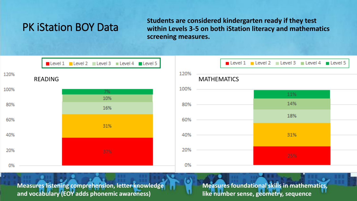## PK iStation BOY Data

**Students are considered kindergarten ready if they test within Levels 3-5 on both iStation literacy and mathematics screening measures.**



**Measures listening comprehension, letter knowledge and vocabulary (EOY adds phonemic awareness)**

**Measures foundational skills in mathematics, like number sense, geometry, sequence**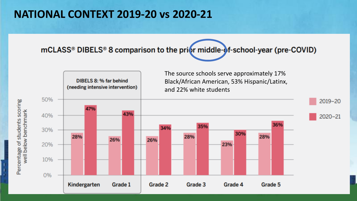# **NATIONAL CONTEXT 2019-20 vs 2020-21**

mCLASS® DIBELS® 8 comparison to the prior middle-of-school-year (pre-COVID)



Percentage of students scoring well below benchmark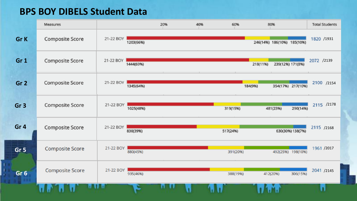### **BPS BOY DIBELS Student Data**

Ī,

|                 | Measures               |           |           | 20% | 40% | 60%      | 80%      |                            | <b>Total Students</b> |
|-----------------|------------------------|-----------|-----------|-----|-----|----------|----------|----------------------------|-----------------------|
| Gr K            | <b>Composite Score</b> | 21-22 BOY | 1203(66%) |     |     |          |          | 246(14%) 186(10%) 185(10%) | 1820 /1931            |
| Gr <sub>1</sub> | <b>Composite Score</b> | 21-22 BOY | 1444(69%) |     |     |          | 218(11%) | 239(12%) 171(8%)           | 2072 /2139            |
| Gr <sub>2</sub> | <b>Composite Score</b> | 21-22 BOY | 1345(64%) |     |     |          | 184(9%)  | 354(17%) 217(10%)          | 2100 /2154            |
| Gr <sub>3</sub> | Composite Score        | 21-22 BOY | 1025(48%) |     |     | 319(15%) |          | 290(14%)<br>481(23%)       | 2115 /2178            |
| Gr <sub>4</sub> | <b>Composite Score</b> | 21-22 BOY | 830(39%)  |     |     | 517(24%) |          | 630(30%) 138(7%)           | 2115 /2168            |
| Gr <sub>5</sub> | <b>Composite Score</b> | 21-22 BOY | 880(45%)  |     |     | 391(20%) |          | 492(25%) 198(10%)          | 1961 /2017            |
| Gr <sub>6</sub> | <b>Composite Score</b> | 21-22 BOY | 935(46%)  |     |     | 388(19%) |          | 412(20%)<br>306(15%)       | 2041 /2145            |
|                 |                        |           |           |     |     |          |          |                            |                       |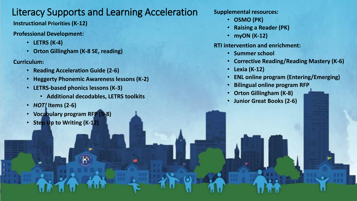## Literacy Supports and Learning Acceleration

**Instructional Priorities (K-12)**

#### **Professional Development:**

- **LETRS (K-4)**
- **Orton Gillingham (K-8 SE, reading)**

#### **Curriculum:**

- **Reading Acceleration Guide (2-6)**
- **Heggerty Phonemic Awareness lessons (K-2)**
- **LETRS-based phonics lessons (K-3)**
	- **Additional decodables, LETRS toolkits**
- *HOT!* **Items (2-6)**
- **Vocabulary program RFP (5-8)**
- **Step Up to Writing (K-12)**

#### **Supplemental resources:**

- **OSMO (PK)**
- **Raising a Reader (PK)**
- **myON (K-12)**

#### **RTI intervention and enrichment:**

- **Summer school**
- **Corrective Reading/Reading Mastery (K-6)**
- **Lexia (K-12)**
- **ENL online program (Entering/Emerging)**
- **Bilingual online program RFP**
- **Orton Gillingham (K-8)**
- **Junior Great Books (2-6)**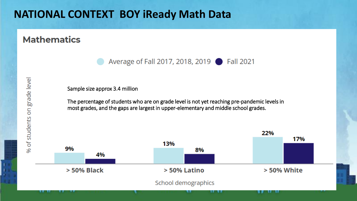# **NATIONAL CONTEXT BOY iReady Math Data**

### **Mathematics**

Average of Fall 2017, 2018, 2019 ● Fall 2021

Sample size approx 3.4 million

The percentage of students who are on grade level is not yet reaching pre-pandemic levels in most grades, and the gaps are largest in upper-elementary and middle school grades.

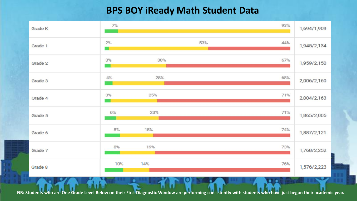### **BPS BOY iReady Math Student Data**



**NB: Students who are One Grade Level Below on their First Diagnostic Window are performing consistently with students who have just begun their academic year.**